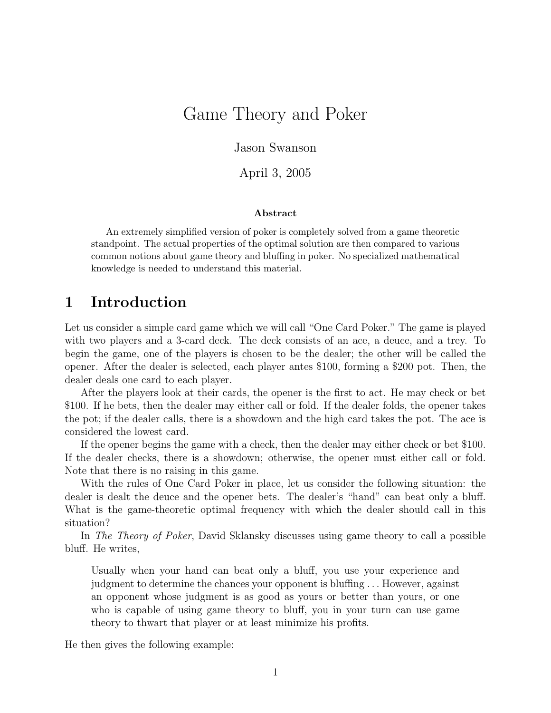# Game Theory and Poker

Jason Swanson

April 3, 2005

#### Abstract

An extremely simplified version of poker is completely solved from a game theoretic standpoint. The actual properties of the optimal solution are then compared to various common notions about game theory and bluffing in poker. No specialized mathematical knowledge is needed to understand this material.

# 1 Introduction

Let us consider a simple card game which we will call "One Card Poker." The game is played with two players and a 3-card deck. The deck consists of an ace, a deuce, and a trey. To begin the game, one of the players is chosen to be the dealer; the other will be called the opener. After the dealer is selected, each player antes \$100, forming a \$200 pot. Then, the dealer deals one card to each player.

After the players look at their cards, the opener is the first to act. He may check or bet \$100. If he bets, then the dealer may either call or fold. If the dealer folds, the opener takes the pot; if the dealer calls, there is a showdown and the high card takes the pot. The ace is considered the lowest card.

If the opener begins the game with a check, then the dealer may either check or bet \$100. If the dealer checks, there is a showdown; otherwise, the opener must either call or fold. Note that there is no raising in this game.

With the rules of One Card Poker in place, let us consider the following situation: the dealer is dealt the deuce and the opener bets. The dealer's "hand" can beat only a bluff. What is the game-theoretic optimal frequency with which the dealer should call in this situation?

In The Theory of Poker, David Sklansky discusses using game theory to call a possible bluff. He writes,

Usually when your hand can beat only a bluff, you use your experience and judgment to determine the chances your opponent is bluffing . . . However, against an opponent whose judgment is as good as yours or better than yours, or one who is capable of using game theory to bluff, you in your turn can use game theory to thwart that player or at least minimize his profits.

He then gives the following example: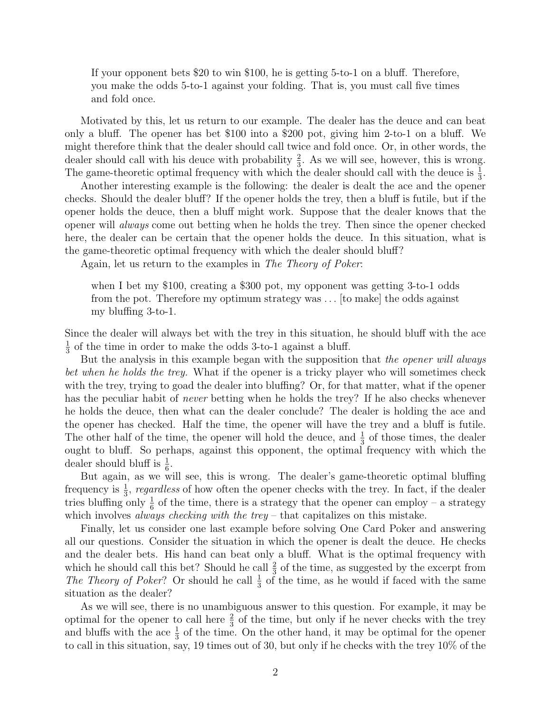If your opponent bets \$20 to win \$100, he is getting 5-to-1 on a bluff. Therefore, you make the odds 5-to-1 against your folding. That is, you must call five times and fold once.

Motivated by this, let us return to our example. The dealer has the deuce and can beat only a bluff. The opener has bet \$100 into a \$200 pot, giving him 2-to-1 on a bluff. We might therefore think that the dealer should call twice and fold once. Or, in other words, the dealer should call with his deuce with probability  $\frac{2}{3}$ . As we will see, however, this is wrong. The game-theoretic optimal frequency with which the dealer should call with the deuce is  $\frac{1}{3}$ .

Another interesting example is the following: the dealer is dealt the ace and the opener checks. Should the dealer bluff? If the opener holds the trey, then a bluff is futile, but if the opener holds the deuce, then a bluff might work. Suppose that the dealer knows that the opener will always come out betting when he holds the trey. Then since the opener checked here, the dealer can be certain that the opener holds the deuce. In this situation, what is the game-theoretic optimal frequency with which the dealer should bluff?

Again, let us return to the examples in The Theory of Poker:

when I bet my \$100, creating a \$300 pot, my opponent was getting 3-to-1 odds from the pot. Therefore my optimum strategy was . . . [to make] the odds against my bluffing 3-to-1.

Since the dealer will always bet with the trey in this situation, he should bluff with the ace 1  $\frac{1}{3}$  of the time in order to make the odds 3-to-1 against a bluff.

But the analysis in this example began with the supposition that the opener will always bet when he holds the trey. What if the opener is a tricky player who will sometimes check with the trey, trying to goad the dealer into bluffing? Or, for that matter, what if the opener has the peculiar habit of never betting when he holds the trey? If he also checks whenever he holds the deuce, then what can the dealer conclude? The dealer is holding the ace and the opener has checked. Half the time, the opener will have the trey and a bluff is futile. The other half of the time, the opener will hold the deuce, and  $\frac{1}{3}$  of those times, the dealer ought to bluff. So perhaps, against this opponent, the optimal frequency with which the dealer should bluff is  $\frac{1}{6}$ .

But again, as we will see, this is wrong. The dealer's game-theoretic optimal bluffing frequency is  $\frac{1}{3}$ , regardless of how often the opener checks with the trey. In fact, if the dealer tries bluffing only  $\frac{1}{6}$  of the time, there is a strategy that the opener can employ – a strategy which involves *always checking with the trey –* that capitalizes on this mistake.

Finally, let us consider one last example before solving One Card Poker and answering all our questions. Consider the situation in which the opener is dealt the deuce. He checks and the dealer bets. His hand can beat only a bluff. What is the optimal frequency with which he should call this bet? Should he call  $\frac{2}{3}$  of the time, as suggested by the excerpt from The Theory of Poker? Or should he call  $\frac{1}{3}$  of the time, as he would if faced with the same situation as the dealer?

As we will see, there is no unambiguous answer to this question. For example, it may be optimal for the opener to call here  $\frac{2}{3}$  of the time, but only if he never checks with the trey and bluffs with the ace  $\frac{1}{3}$  of the time. On the other hand, it may be optimal for the opener to call in this situation, say, 19 times out of 30, but only if he checks with the trey 10% of the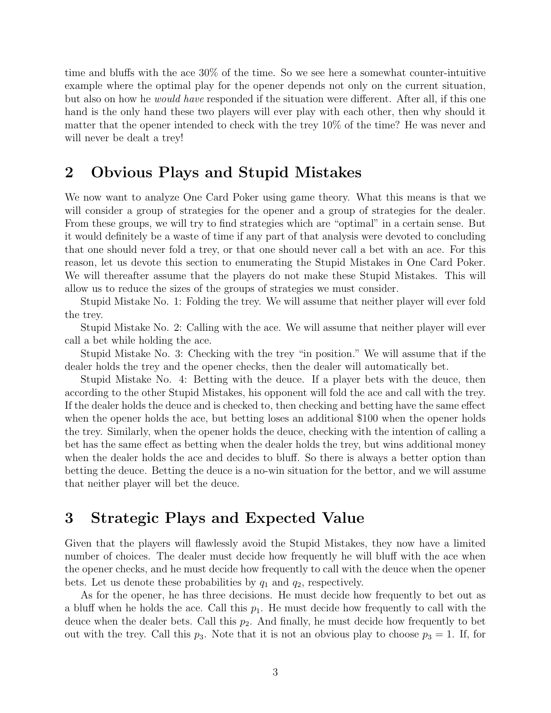time and bluffs with the ace 30% of the time. So we see here a somewhat counter-intuitive example where the optimal play for the opener depends not only on the current situation, but also on how he would have responded if the situation were different. After all, if this one hand is the only hand these two players will ever play with each other, then why should it matter that the opener intended to check with the trey 10% of the time? He was never and will never be dealt a trey!

### 2 Obvious Plays and Stupid Mistakes

We now want to analyze One Card Poker using game theory. What this means is that we will consider a group of strategies for the opener and a group of strategies for the dealer. From these groups, we will try to find strategies which are "optimal" in a certain sense. But it would definitely be a waste of time if any part of that analysis were devoted to concluding that one should never fold a trey, or that one should never call a bet with an ace. For this reason, let us devote this section to enumerating the Stupid Mistakes in One Card Poker. We will thereafter assume that the players do not make these Stupid Mistakes. This will allow us to reduce the sizes of the groups of strategies we must consider.

Stupid Mistake No. 1: Folding the trey. We will assume that neither player will ever fold the trey.

Stupid Mistake No. 2: Calling with the ace. We will assume that neither player will ever call a bet while holding the ace.

Stupid Mistake No. 3: Checking with the trey "in position." We will assume that if the dealer holds the trey and the opener checks, then the dealer will automatically bet.

Stupid Mistake No. 4: Betting with the deuce. If a player bets with the deuce, then according to the other Stupid Mistakes, his opponent will fold the ace and call with the trey. If the dealer holds the deuce and is checked to, then checking and betting have the same effect when the opener holds the ace, but betting loses an additional \$100 when the opener holds the trey. Similarly, when the opener holds the deuce, checking with the intention of calling a bet has the same effect as betting when the dealer holds the trey, but wins additional money when the dealer holds the ace and decides to bluff. So there is always a better option than betting the deuce. Betting the deuce is a no-win situation for the bettor, and we will assume that neither player will bet the deuce.

# 3 Strategic Plays and Expected Value

Given that the players will flawlessly avoid the Stupid Mistakes, they now have a limited number of choices. The dealer must decide how frequently he will bluff with the ace when the opener checks, and he must decide how frequently to call with the deuce when the opener bets. Let us denote these probabilities by  $q_1$  and  $q_2$ , respectively.

As for the opener, he has three decisions. He must decide how frequently to bet out as a bluff when he holds the ace. Call this  $p_1$ . He must decide how frequently to call with the deuce when the dealer bets. Call this  $p_2$ . And finally, he must decide how frequently to bet out with the trey. Call this  $p_3$ . Note that it is not an obvious play to choose  $p_3 = 1$ . If, for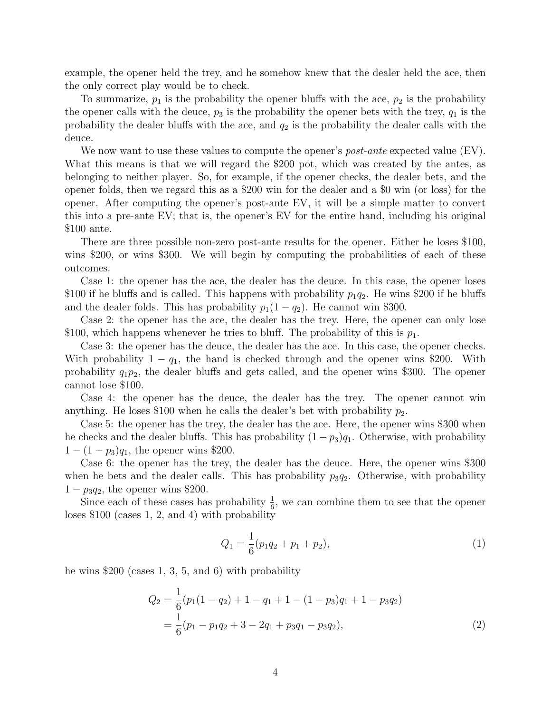example, the opener held the trey, and he somehow knew that the dealer held the ace, then the only correct play would be to check.

To summarize,  $p_1$  is the probability the opener bluffs with the ace,  $p_2$  is the probability the opener calls with the deuce,  $p_3$  is the probability the opener bets with the trey,  $q_1$  is the probability the dealer bluffs with the ace, and  $q_2$  is the probability the dealer calls with the deuce.

We now want to use these values to compute the opener's *post-ante* expected value  $(EV)$ . What this means is that we will regard the \$200 pot, which was created by the antes, as belonging to neither player. So, for example, if the opener checks, the dealer bets, and the opener folds, then we regard this as a \$200 win for the dealer and a \$0 win (or loss) for the opener. After computing the opener's post-ante EV, it will be a simple matter to convert this into a pre-ante EV; that is, the opener's EV for the entire hand, including his original \$100 ante.

There are three possible non-zero post-ante results for the opener. Either he loses \$100, wins \$200, or wins \$300. We will begin by computing the probabilities of each of these outcomes.

Case 1: the opener has the ace, the dealer has the deuce. In this case, the opener loses \$100 if he bluffs and is called. This happens with probability  $p_1q_2$ . He wins \$200 if he bluffs and the dealer folds. This has probability  $p_1(1 - q_2)$ . He cannot win \$300.

Case 2: the opener has the ace, the dealer has the trey. Here, the opener can only lose \$100, which happens whenever he tries to bluff. The probability of this is  $p_1$ .

Case 3: the opener has the deuce, the dealer has the ace. In this case, the opener checks. With probability  $1 - q_1$ , the hand is checked through and the opener wins \$200. With probability  $q_1p_2$ , the dealer bluffs and gets called, and the opener wins \$300. The opener cannot lose \$100.

Case 4: the opener has the deuce, the dealer has the trey. The opener cannot win anything. He loses \$100 when he calls the dealer's bet with probability  $p_2$ .

Case 5: the opener has the trey, the dealer has the ace. Here, the opener wins \$300 when he checks and the dealer bluffs. This has probability  $(1-p_3)q_1$ . Otherwise, with probability  $1 - (1 - p_3)q_1$ , the opener wins \$200.

Case 6: the opener has the trey, the dealer has the deuce. Here, the opener wins \$300 when he bets and the dealer calls. This has probability  $p_3q_2$ . Otherwise, with probability  $1 - p_3q_2$ , the opener wins \$200.

Since each of these cases has probability  $\frac{1}{6}$ , we can combine them to see that the opener loses \$100 (cases 1, 2, and 4) with probability

<span id="page-3-1"></span><span id="page-3-0"></span>
$$
Q_1 = \frac{1}{6}(p_1q_2 + p_1 + p_2),
$$
\n(1)

he wins \$200 (cases 1, 3, 5, and 6) with probability

$$
Q_2 = \frac{1}{6}(p_1(1 - q_2) + 1 - q_1 + 1 - (1 - p_3)q_1 + 1 - p_3q_2)
$$
  
=  $\frac{1}{6}(p_1 - p_1q_2 + 3 - 2q_1 + p_3q_1 - p_3q_2),$  (2)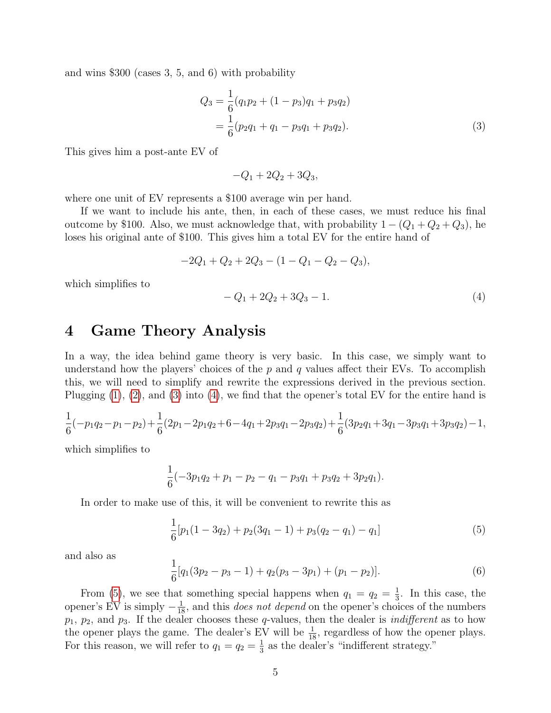and wins \$300 (cases 3, 5, and 6) with probability

$$
Q_3 = \frac{1}{6}(q_1p_2 + (1 - p_3)q_1 + p_3q_2)
$$
  
=  $\frac{1}{6}(p_2q_1 + q_1 - p_3q_1 + p_3q_2).$  (3)

This gives him a post-ante EV of

<span id="page-4-0"></span>
$$
-Q_1 + 2Q_2 + 3Q_3,
$$

where one unit of EV represents a \$100 average win per hand.

If we want to include his ante, then, in each of these cases, we must reduce his final outcome by \$100. Also, we must acknowledge that, with probability  $1 - (Q_1 + Q_2 + Q_3)$ , he loses his original ante of \$100. This gives him a total EV for the entire hand of

$$
-2Q_1 + Q_2 + 2Q_3 - (1 - Q_1 - Q_2 - Q_3),
$$

which simplifies to

<span id="page-4-1"></span>
$$
-Q_1 + 2Q_2 + 3Q_3 - 1.\tag{4}
$$

#### 4 Game Theory Analysis

In a way, the idea behind game theory is very basic. In this case, we simply want to understand how the players' choices of the  $p$  and  $q$  values affect their EVs. To accomplish this, we will need to simplify and rewrite the expressions derived in the previous section. Plugging  $(1)$ ,  $(2)$ , and  $(3)$  into  $(4)$ , we find that the opener's total EV for the entire hand is

$$
\frac{1}{6}(-p_1q_2-p_1-p_2)+\frac{1}{6}(2p_1-2p_1q_2+6-4q_1+2p_3q_1-2p_3q_2)+\frac{1}{6}(3p_2q_1+3q_1-3p_3q_1+3p_3q_2)-1,
$$

which simplifies to

$$
\frac{1}{6}(-3p_1q_2+p_1-p_2-q_1-p_3q_1+p_3q_2+3p_2q_1).
$$

In order to make use of this, it will be convenient to rewrite this as

<span id="page-4-2"></span>
$$
\frac{1}{6}[p_1(1-3q_2)+p_2(3q_1-1)+p_3(q_2-q_1)-q_1]
$$
\n(5)

and also as

<span id="page-4-3"></span>
$$
\frac{1}{6}[q_1(3p_2 - p_3 - 1) + q_2(p_3 - 3p_1) + (p_1 - p_2)].
$$
\n(6)

From [\(5\)](#page-4-2), we see that something special happens when  $q_1 = q_2 = \frac{1}{3}$  $\frac{1}{3}$ . In this case, the opener's EV is simply  $-\frac{1}{18}$ , and this *does not depend* on the opener's choices of the numbers  $p_1, p_2$ , and  $p_3$ . If the dealer chooses these q-values, then the dealer is *indifferent* as to how the opener plays the game. The dealer's EV will be  $\frac{1}{18}$ , regardless of how the opener plays. For this reason, we will refer to  $q_1 = q_2 = \frac{1}{3}$  $\frac{1}{3}$  as the dealer's "indifferent strategy."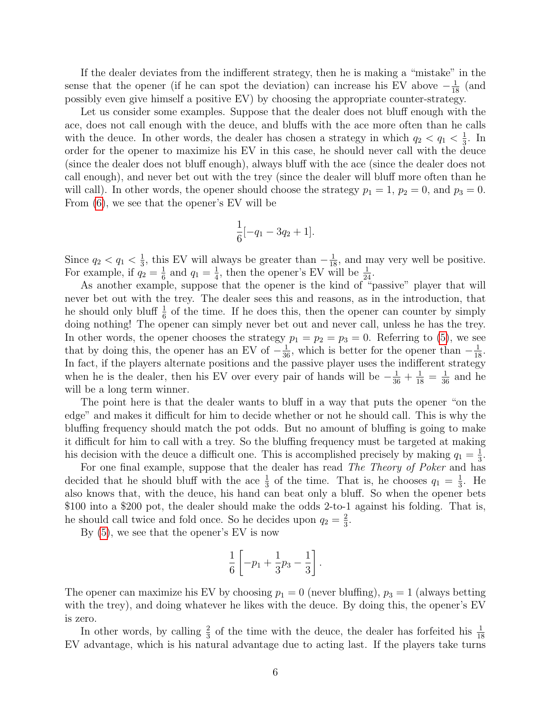If the dealer deviates from the indifferent strategy, then he is making a "mistake" in the sense that the opener (if he can spot the deviation) can increase his EV above  $-\frac{1}{18}$  (and possibly even give himself a positive EV) by choosing the appropriate counter-strategy.

Let us consider some examples. Suppose that the dealer does not bluff enough with the ace, does not call enough with the deuce, and bluffs with the ace more often than he calls with the deuce. In other words, the dealer has chosen a strategy in which  $q_2 < q_1 < \frac{1}{3}$  $\frac{1}{3}$ . In order for the opener to maximize his EV in this case, he should never call with the deuce (since the dealer does not bluff enough), always bluff with the ace (since the dealer does not call enough), and never bet out with the trey (since the dealer will bluff more often than he will call). In other words, the opener should choose the strategy  $p_1 = 1$ ,  $p_2 = 0$ , and  $p_3 = 0$ . From [\(6\)](#page-4-3), we see that the opener's EV will be

$$
\frac{1}{6}[-q_1 - 3q_2 + 1].
$$

Since  $q_2 < q_1 < \frac{1}{3}$  $\frac{1}{3}$ , this EV will always be greater than  $-\frac{1}{18}$ , and may very well be positive. For example, if  $q_2 = \frac{1}{6}$  $\frac{1}{6}$  and  $q_1 = \frac{1}{4}$  $\frac{1}{4}$ , then the opener's EV will be  $\frac{1}{24}$ .

As another example, suppose that the opener is the kind of "passive" player that will never bet out with the trey. The dealer sees this and reasons, as in the introduction, that he should only bluff  $\frac{1}{6}$  of the time. If he does this, then the opener can counter by simply doing nothing! The opener can simply never bet out and never call, unless he has the trey. In other words, the opener chooses the strategy  $p_1 = p_2 = p_3 = 0$ . Referring to [\(5\)](#page-4-2), we see that by doing this, the opener has an EV of  $-\frac{1}{36}$ , which is better for the opener than  $-\frac{1}{18}$ . In fact, if the players alternate positions and the passive player uses the indifferent strategy when he is the dealer, then his EV over every pair of hands will be  $-\frac{1}{36} + \frac{1}{18} = \frac{1}{36}$  and he will be a long term winner.

The point here is that the dealer wants to bluff in a way that puts the opener "on the edge" and makes it difficult for him to decide whether or not he should call. This is why the bluffing frequency should match the pot odds. But no amount of bluffing is going to make it difficult for him to call with a trey. So the bluffing frequency must be targeted at making his decision with the deuce a difficult one. This is accomplished precisely by making  $q_1 = \frac{1}{3}$  $\frac{1}{3}$ .

For one final example, suppose that the dealer has read The Theory of Poker and has decided that he should bluff with the ace  $\frac{1}{3}$  of the time. That is, he chooses  $q_1 = \frac{1}{3}$  $\frac{1}{3}$ . He also knows that, with the deuce, his hand can beat only a bluff. So when the opener bets \$100 into a \$200 pot, the dealer should make the odds 2-to-1 against his folding. That is, he should call twice and fold once. So he decides upon  $q_2 = \frac{2}{3}$  $\frac{2}{3}$ .

By [\(5\)](#page-4-2), we see that the opener's EV is now

$$
\frac{1}{6} \left[ -p_1 + \frac{1}{3}p_3 - \frac{1}{3} \right].
$$

The opener can maximize his EV by choosing  $p_1 = 0$  (never bluffing),  $p_3 = 1$  (always betting with the trey), and doing whatever he likes with the deuce. By doing this, the opener's EV is zero.

In other words, by calling  $\frac{2}{3}$  of the time with the deuce, the dealer has forfeited his  $\frac{1}{18}$ EV advantage, which is his natural advantage due to acting last. If the players take turns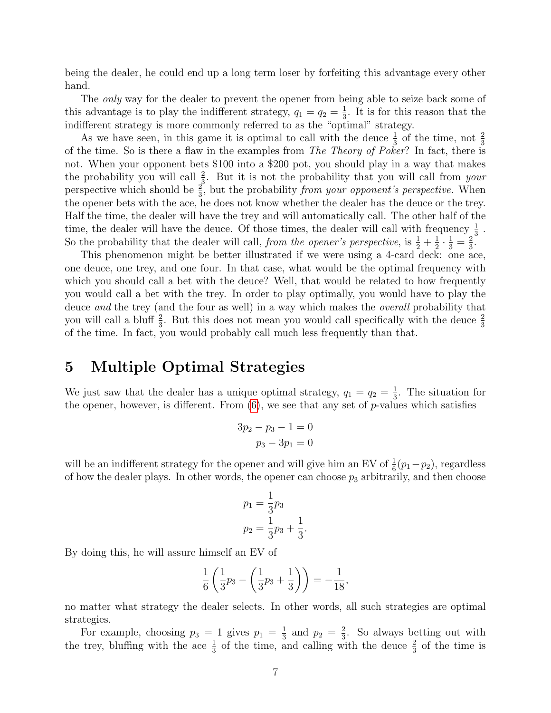being the dealer, he could end up a long term loser by forfeiting this advantage every other hand.

The *only* way for the dealer to prevent the opener from being able to seize back some of this advantage is to play the indifferent strategy,  $q_1 = q_2 = \frac{1}{3}$  $\frac{1}{3}$ . It is for this reason that the indifferent strategy is more commonly referred to as the "optimal" strategy.

As we have seen, in this game it is optimal to call with the deuce  $\frac{1}{3}$  of the time, not  $\frac{2}{3}$ of the time. So is there a flaw in the examples from The Theory of Poker? In fact, there is not. When your opponent bets \$100 into a \$200 pot, you should play in a way that makes the probability you will call  $\frac{2}{3}$ . But it is not the probability that you will call from your perspective which should be  $\frac{2}{3}$ , but the probability from your opponent's perspective. When the opener bets with the ace, he does not know whether the dealer has the deuce or the trey. Half the time, the dealer will have the trey and will automatically call. The other half of the time, the dealer will have the deuce. Of those times, the dealer will call with frequency  $\frac{1}{3}$ . So the probability that the dealer will call, from the opener's perspective, is  $\frac{1}{2} + \frac{1}{2}$  $\frac{1}{2} \cdot \frac{1}{3} = \frac{2}{3}$  $\frac{2}{3}$ .

This phenomenon might be better illustrated if we were using a 4-card deck: one ace, one deuce, one trey, and one four. In that case, what would be the optimal frequency with which you should call a bet with the deuce? Well, that would be related to how frequently you would call a bet with the trey. In order to play optimally, you would have to play the deuce and the trey (and the four as well) in a way which makes the *overall* probability that you will call a bluff  $\frac{2}{3}$ . But this does not mean you would call specifically with the deuce  $\frac{2}{3}$ of the time. In fact, you would probably call much less frequently than that.

# 5 Multiple Optimal Strategies

We just saw that the dealer has a unique optimal strategy,  $q_1 = q_2 = \frac{1}{3}$  $\frac{1}{3}$ . The situation for the opener, however, is different. From  $(6)$ , we see that any set of p-values which satisfies

$$
3p_2 - p_3 - 1 = 0
$$
  

$$
p_3 - 3p_1 = 0
$$

will be an indifferent strategy for the opener and will give him an EV of  $\frac{1}{6}(p_1-p_2)$ , regardless of how the dealer plays. In other words, the opener can choose  $p_3$  arbitrarily, and then choose

$$
p_1 = \frac{1}{3}p_3
$$
  

$$
p_2 = \frac{1}{3}p_3 + \frac{1}{3}.
$$

By doing this, he will assure himself an EV of

$$
\frac{1}{6}\left(\frac{1}{3}p_3 - \left(\frac{1}{3}p_3 + \frac{1}{3}\right)\right) = -\frac{1}{18},
$$

no matter what strategy the dealer selects. In other words, all such strategies are optimal strategies.

For example, choosing  $p_3 = 1$  gives  $p_1 = \frac{1}{3}$  $rac{1}{3}$  and  $p_2 = \frac{2}{3}$  $\frac{2}{3}$ . So always betting out with the trey, bluffing with the ace  $\frac{1}{3}$  of the time, and calling with the deuce  $\frac{2}{3}$  of the time is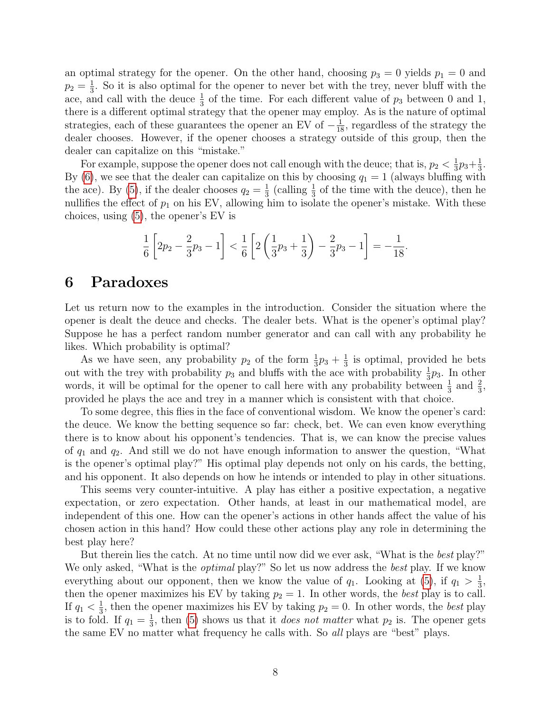an optimal strategy for the opener. On the other hand, choosing  $p_3 = 0$  yields  $p_1 = 0$  and  $p_2 = \frac{1}{3}$  $\frac{1}{3}$ . So it is also optimal for the opener to never bet with the trey, never bluff with the ace, and call with the deuce  $\frac{1}{3}$  of the time. For each different value of  $p_3$  between 0 and 1, there is a different optimal strategy that the opener may employ. As is the nature of optimal strategies, each of these guarantees the opener an EV of  $-\frac{1}{18}$ , regardless of the strategy the dealer chooses. However, if the opener chooses a strategy outside of this group, then the dealer can capitalize on this "mistake."

For example, suppose the opener does not call enough with the deuce; that is,  $p_2 < \frac{1}{3}$  $\frac{1}{3}p_3+\frac{1}{3}$  $\frac{1}{3}$ . By [\(6\)](#page-4-3), we see that the dealer can capitalize on this by choosing  $q_1 = 1$  (always bluffing with the ace). By [\(5\)](#page-4-2), if the dealer chooses  $q_2 = \frac{1}{3}$  $\frac{1}{3}$  (calling  $\frac{1}{3}$  of the time with the deuce), then he nullifies the effect of  $p_1$  on his EV, allowing him to isolate the opener's mistake. With these choices, using [\(5\)](#page-4-2), the opener's EV is

$$
\frac{1}{6}\left[2p_2-\frac{2}{3}p_3-1\right] < \frac{1}{6}\left[2\left(\frac{1}{3}p_3+\frac{1}{3}\right)-\frac{2}{3}p_3-1\right] = -\frac{1}{18}.
$$

#### 6 Paradoxes

Let us return now to the examples in the introduction. Consider the situation where the opener is dealt the deuce and checks. The dealer bets. What is the opener's optimal play? Suppose he has a perfect random number generator and can call with any probability he likes. Which probability is optimal?

As we have seen, any probability  $p_2$  of the form  $\frac{1}{3}p_3 + \frac{1}{3}$  $\frac{1}{3}$  is optimal, provided he bets out with the trey with probability  $p_3$  and bluffs with the ace with probability  $\frac{1}{3}p_3$ . In other words, it will be optimal for the opener to call here with any probability between  $\frac{1}{3}$  and  $\frac{2}{3}$ , provided he plays the ace and trey in a manner which is consistent with that choice.

To some degree, this flies in the face of conventional wisdom. We know the opener's card: the deuce. We know the betting sequence so far: check, bet. We can even know everything there is to know about his opponent's tendencies. That is, we can know the precise values of  $q_1$  and  $q_2$ . And still we do not have enough information to answer the question, "What is the opener's optimal play?" His optimal play depends not only on his cards, the betting, and his opponent. It also depends on how he intends or intended to play in other situations.

This seems very counter-intuitive. A play has either a positive expectation, a negative expectation, or zero expectation. Other hands, at least in our mathematical model, are independent of this one. How can the opener's actions in other hands affect the value of his chosen action in this hand? How could these other actions play any role in determining the best play here?

But therein lies the catch. At no time until now did we ever ask, "What is the best play?" We only asked, "What is the *optimal* play?" So let us now address the *best* play. If we know everything about our opponent, then we know the value of  $q_1$ . Looking at [\(5\)](#page-4-2), if  $q_1 > \frac{1}{3}$  $\frac{1}{3}$ , then the opener maximizes his EV by taking  $p_2 = 1$ . In other words, the best play is to call. If  $q_1 < \frac{1}{3}$  $\frac{1}{3}$ , then the opener maximizes his EV by taking  $p_2 = 0$ . In other words, the *best* play is to fold. If  $q_1 = \frac{1}{3}$  $\frac{1}{3}$ , then [\(5\)](#page-4-2) shows us that it *does not matter* what  $p_2$  is. The opener gets the same EV no matter what frequency he calls with. So all plays are "best" plays.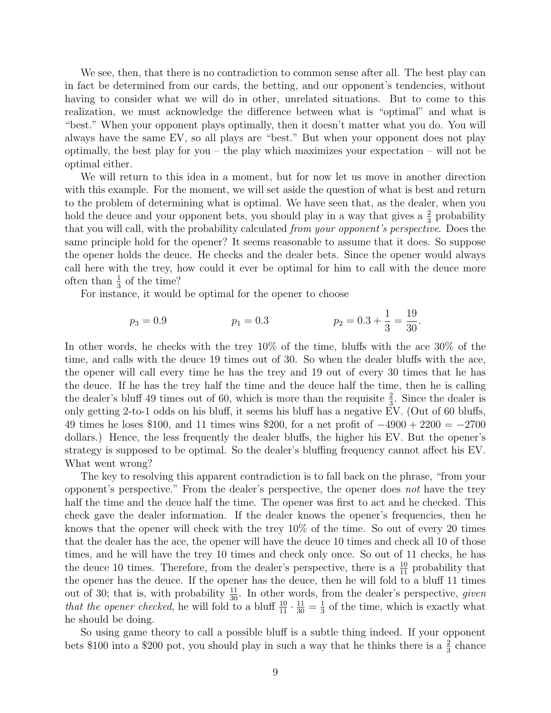We see, then, that there is no contradiction to common sense after all. The best play can in fact be determined from our cards, the betting, and our opponent's tendencies, without having to consider what we will do in other, unrelated situations. But to come to this realization, we must acknowledge the difference between what is "optimal" and what is "best." When your opponent plays optimally, then it doesn't matter what you do. You will always have the same EV, so all plays are "best." But when your opponent does not play optimally, the best play for you – the play which maximizes your expectation – will not be optimal either.

We will return to this idea in a moment, but for now let us move in another direction with this example. For the moment, we will set aside the question of what is best and return to the problem of determining what is optimal. We have seen that, as the dealer, when you hold the deuce and your opponent bets, you should play in a way that gives a  $\frac{2}{3}$  probability that you will call, with the probability calculated from your opponent's perspective. Does the same principle hold for the opener? It seems reasonable to assume that it does. So suppose the opener holds the deuce. He checks and the dealer bets. Since the opener would always call here with the trey, how could it ever be optimal for him to call with the deuce more often than  $\frac{1}{3}$  of the time?

For instance, it would be optimal for the opener to choose

$$
p_3 = 0.9
$$
  $p_1 = 0.3$   $p_2 = 0.3 + \frac{1}{3} = \frac{19}{30}.$ 

In other words, he checks with the trey  $10\%$  of the time, bluffs with the ace  $30\%$  of the time, and calls with the deuce 19 times out of 30. So when the dealer bluffs with the ace, the opener will call every time he has the trey and 19 out of every 30 times that he has the deuce. If he has the trey half the time and the deuce half the time, then he is calling the dealer's bluff 49 times out of 60, which is more than the requisite  $\frac{2}{3}$ . Since the dealer is only getting 2-to-1 odds on his bluff, it seems his bluff has a negative EV. (Out of 60 bluffs, 49 times he loses \$100, and 11 times wins \$200, for a net profit of  $-4900 + 2200 = -2700$ dollars.) Hence, the less frequently the dealer bluffs, the higher his EV. But the opener's strategy is supposed to be optimal. So the dealer's bluffing frequency cannot affect his EV. What went wrong?

The key to resolving this apparent contradiction is to fall back on the phrase, "from your opponent's perspective." From the dealer's perspective, the opener does not have the trey half the time and the deuce half the time. The opener was first to act and he checked. This check gave the dealer information. If the dealer knows the opener's frequencies, then he knows that the opener will check with the trey 10% of the time. So out of every 20 times that the dealer has the ace, the opener will have the deuce 10 times and check all 10 of those times, and he will have the trey 10 times and check only once. So out of 11 checks, he has the deuce 10 times. Therefore, from the dealer's perspective, there is a  $\frac{10}{11}$  probability that the opener has the deuce. If the opener has the deuce, then he will fold  $\overline{t}$  to a bluff 11 times out of 30; that is, with probability  $\frac{11}{30}$ . In other words, from the dealer's perspective, given that the opener checked, he will fold to a bluff  $\frac{10}{11} \cdot \frac{11}{30} = \frac{1}{3}$  $\frac{1}{3}$  of the time, which is exactly what he should be doing.

So using game theory to call a possible bluff is a subtle thing indeed. If your opponent bets \$100 into a \$200 pot, you should play in such a way that he thinks there is a  $\frac{2}{3}$  chance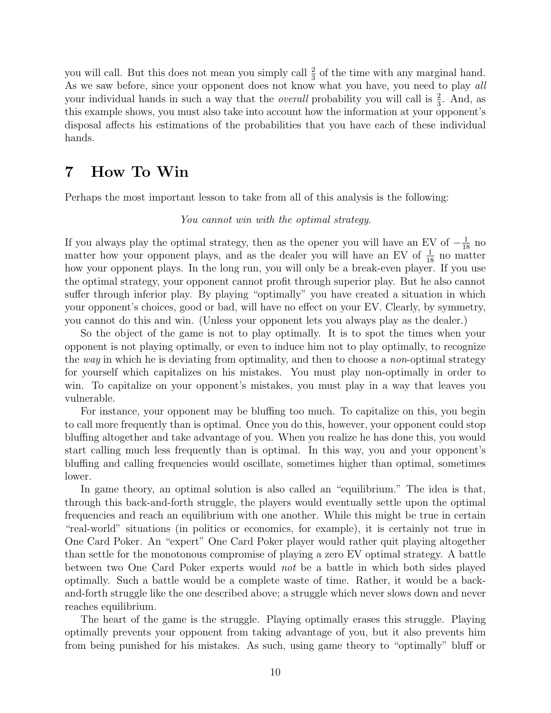you will call. But this does not mean you simply call  $\frac{2}{3}$  of the time with any marginal hand. As we saw before, since your opponent does not know what you have, you need to play all your individual hands in such a way that the *overall* probability you will call is  $\frac{2}{3}$ . And, as this example shows, you must also take into account how the information at your opponent's disposal affects his estimations of the probabilities that you have each of these individual hands.

# 7 How To Win

Perhaps the most important lesson to take from all of this analysis is the following:

#### You cannot win with the optimal strategy.

If you always play the optimal strategy, then as the opener you will have an EV of  $-\frac{1}{18}$  no matter how your opponent plays, and as the dealer you will have an EV of  $\frac{1}{18}$  no matter how your opponent plays. In the long run, you will only be a break-even player. If you use the optimal strategy, your opponent cannot profit through superior play. But he also cannot suffer through inferior play. By playing "optimally" you have created a situation in which your opponent's choices, good or bad, will have no effect on your EV. Clearly, by symmetry, you cannot do this and win. (Unless your opponent lets you always play as the dealer.)

So the object of the game is not to play optimally. It is to spot the times when your opponent is not playing optimally, or even to induce him not to play optimally, to recognize the way in which he is deviating from optimality, and then to choose a non-optimal strategy for yourself which capitalizes on his mistakes. You must play non-optimally in order to win. To capitalize on your opponent's mistakes, you must play in a way that leaves you vulnerable.

For instance, your opponent may be bluffing too much. To capitalize on this, you begin to call more frequently than is optimal. Once you do this, however, your opponent could stop bluffing altogether and take advantage of you. When you realize he has done this, you would start calling much less frequently than is optimal. In this way, you and your opponent's bluffing and calling frequencies would oscillate, sometimes higher than optimal, sometimes lower.

In game theory, an optimal solution is also called an "equilibrium." The idea is that, through this back-and-forth struggle, the players would eventually settle upon the optimal frequencies and reach an equilibrium with one another. While this might be true in certain "real-world" situations (in politics or economics, for example), it is certainly not true in One Card Poker. An "expert" One Card Poker player would rather quit playing altogether than settle for the monotonous compromise of playing a zero EV optimal strategy. A battle between two One Card Poker experts would not be a battle in which both sides played optimally. Such a battle would be a complete waste of time. Rather, it would be a backand-forth struggle like the one described above; a struggle which never slows down and never reaches equilibrium.

The heart of the game is the struggle. Playing optimally erases this struggle. Playing optimally prevents your opponent from taking advantage of you, but it also prevents him from being punished for his mistakes. As such, using game theory to "optimally" bluff or